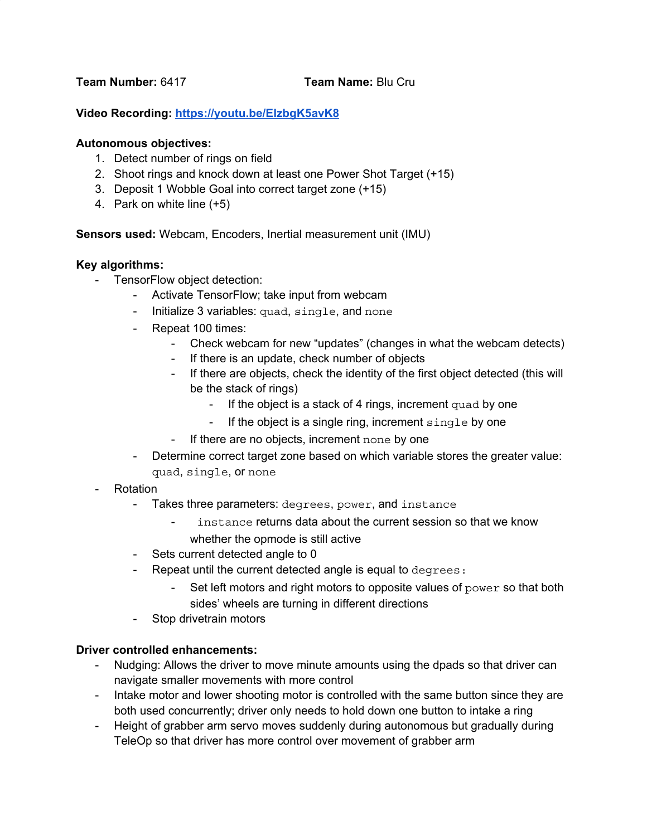**Team Number:** 6417 **Team Name:** Blu Cru

## **Video Recording: <https://youtu.be/EIzbgK5avK8>**

#### **Autonomous objectives:**

- 1. Detect number of rings on field
- 2. Shoot rings and knock down at least one Power Shot Target (+15)
- 3. Deposit 1 Wobble Goal into correct target zone (+15)
- 4. Park on white line (+5)

**Sensors used:** Webcam, Encoders, Inertial measurement unit (IMU)

#### **Key algorithms:**

- TensorFlow object detection:
	- Activate TensorFlow; take input from webcam
	- Initialize 3 variables: quad, single, and none
	- Repeat 100 times:
		- Check webcam for new "updates" (changes in what the webcam detects)
		- If there is an update, check number of objects
		- If there are objects, check the identity of the first object detected (this will be the stack of rings)
			- If the object is a stack of 4 rings, increment quad by one
			- If the object is a single ring, increment  $single$  by one
		- If there are no objects, increment none by one
	- Determine correct target zone based on which variable stores the greater value: quad, single, or none
- **Rotation** 
	- Takes three parameters: degrees, power, and instance
		- instance returns data about the current session so that we know whether the opmode is still active
	- Sets current detected angle to 0
	- Repeat until the current detected angle is equal to degrees:
		- Set left motors and right motors to opposite values of power so that both sides' wheels are turning in different directions
	- Stop drivetrain motors

### **Driver controlled enhancements:**

- Nudging: Allows the driver to move minute amounts using the dpads so that driver can navigate smaller movements with more control
- Intake motor and lower shooting motor is controlled with the same button since they are both used concurrently; driver only needs to hold down one button to intake a ring
- Height of grabber arm servo moves suddenly during autonomous but gradually during TeleOp so that driver has more control over movement of grabber arm